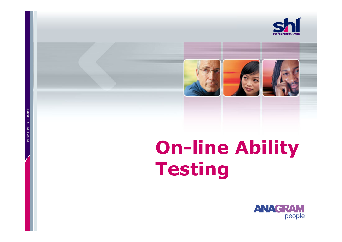



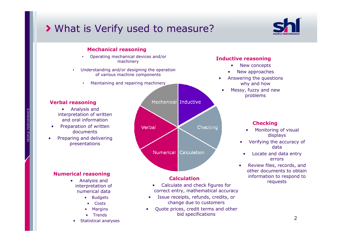# What is Verify used to measure?



#### Mechanical reasoning

- Operating mechanical devices and/or •machinery
- • Understanding and/or designing the operation of various machine components
	- •Maintaining and repairing machinery

#### Verbal reasoning

- Analysis a Analysis and interpretation of written and oral information
- Preparation of written •documents
- Preparing and delivering<br>presentations •presentations



- Calculate and check figures for<br>rect entry mathematical accura correct entry, mathematical accuracy
- • Issue receipts, refunds, credits, or change due to customers
- Quote prices, credit terms and other<br>bid specifications •bid specifications

#### Inductive reasoning

- New concepts •
- •New approaches
- • Answering the questions why and how
- Messy, fuzzy and new<br>problems •problems

#### **Checking**

- Monitoring of visual<br>displays •displays
- Verifying the accuracy of •data
- Locate and data entry •errors
- Review files, records, and<br>other documents to obtain •other documents to obtain information to respond to requests**Calculation**<br>request <sup>information</sup> to the calculate and check figures for

PEOPLE PERFORMANCE PEOPLE PERFORMANCE

#### Numerical reasoning

•

- Analysis and<br>ternretation o interpretation of numerical data
	- Budgets
		- Costs
	- •Margins
	- Trends
- •Statistical analyses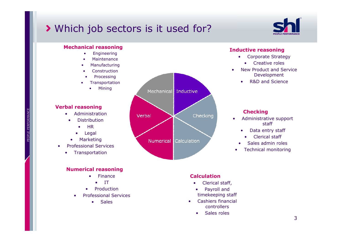# Which job sectors is it used for?



### Mechanical reasoning

- •Engineering
- •Maintenance
- •Manufacturing
- •**Construction**
- •Processing
- •**Transportation** 
	- •Mining

#### Verbal reasoning

- Administration •
	- • Distribution
		- •**HR**
		- •Legal
	- •Marketing
- • Professional Services
	- •Transportation

#### Numerical reasoning

- • Finance
	- IT
- Production
- • Professional Services
	- Sales



#### Inductive reasoning

- Corporate Strategy
	- •Creative roles
- • New Product and Service Development
	- •R&D and Science

#### **Checking**

- Administrative support<br>staff •staff
	- •Data entry staff
	- •Clerical staff
	- •Sales admin roles
- •Technical monitoring

#### **Calculation**

- Clerical staff, •
- $\bullet$  Payroll and timekeeping staff
- • Cashiers financial controllers
	- Sales roles •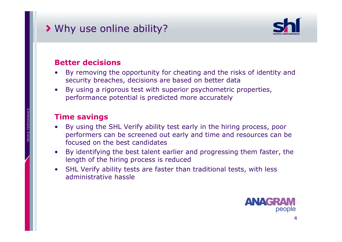# Why use online ability?



# Better decisions

- By removing the opportunity for cheating and the risks of identity and<br>security breaches, decisions are based on better data •security breaches, decisions are based on better data
- By using a rigorous test with superior psychometric properties,<br>nerformance potential is predicted more accurately •performance potential is predicted more accurately

# Time savings

- By using the SHL Verify ability test early in the hiring process, poor nerformers can be screened out early and time and resources can be •performers can be screened out early and time and resources can be focused on the best candidates
- • By identifying the best talent earlier and progressing them faster, the length of the hiring process is reduced
- SHL Verify ability tests are faster than traditional tests, with less administrative hassle •administrative hassle